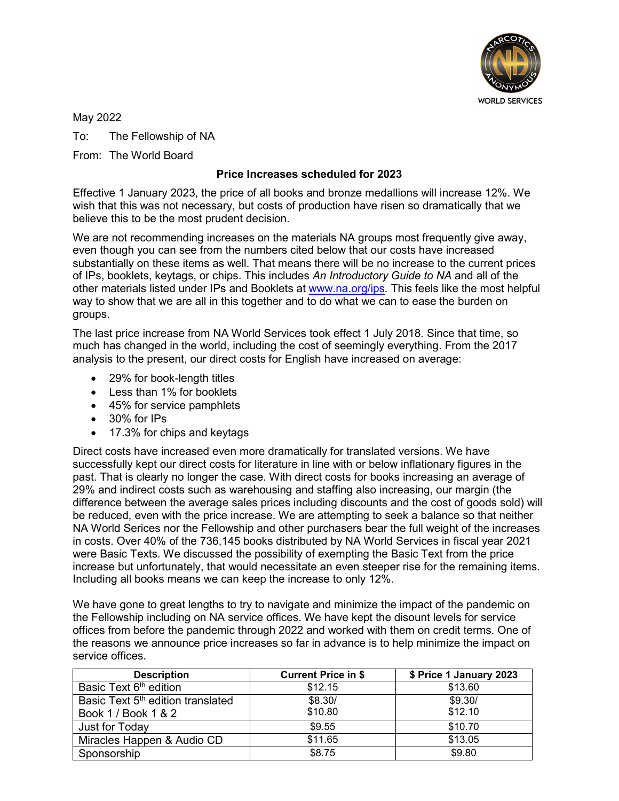

May 2022

To: The Fellowship of NA

From: The World Board

## **Price Increases scheduled for 2023**

Effective 1 January 2023, the price of all books and bronze medallions will increase 12%. We wish that this was not necessary, but costs of production have risen so dramatically that we believe this to be the most prudent decision.

We are not recommending increases on the materials NA groups most frequently give away, even though you can see from the numbers cited below that our costs have increased substantially on these items as well. That means there will be no increase to the current prices of IPs, booklets, keytags, or chips. This includes *An Introductory Guide to NA* and all of the other materials listed under IPs and Booklets at [www.na.org/ips](http://www.na.org/ips)*.* This feels like the most helpful way to show that we are all in this together and to do what we can to ease the burden on groups.

The last price increase from NA World Services took effect 1 July 2018. Since that time, so much has changed in the world, including the cost of seemingly everything. From the 2017 analysis to the present, our direct costs for English have increased on average:

- 29% for book-length titles
- Less than 1% for booklets
- 45% for service pamphlets
- 30% for IPs
- 17.3% for chips and keytags

Direct costs have increased even more dramatically for translated versions. We have successfully kept our direct costs for literature in line with or below inflationary figures in the past. That is clearly no longer the case. With direct costs for books increasing an average of 29% and indirect costs such as warehousing and staffing also increasing, our margin (the difference between the average sales prices including discounts and the cost of goods sold) will be reduced, even with the price increase. We are attempting to seek a balance so that neither NA World Serices nor the Fellowship and other purchasers bear the full weight of the increases in costs. Over 40% of the 736,145 books distributed by NA World Services in fiscal year 2021 were Basic Texts. We discussed the possibility of exempting the Basic Text from the price increase but unfortunately, that would necessitate an even steeper rise for the remaining items. Including all books means we can keep the increase to only 12%.

We have gone to great lengths to try to navigate and minimize the impact of the pandemic on the Fellowship including on NA service offices. We have kept the disount levels for service offices from before the pandemic through 2022 and worked with them on credit terms. One of the reasons we announce price increases so far in advance is to help minimize the impact on service offices.

| <b>Description</b>                            | <b>Current Price in \$</b> | \$ Price 1 January 2023 |
|-----------------------------------------------|----------------------------|-------------------------|
| Basic Text 6 <sup>th</sup> edition            | \$12.15                    | \$13.60                 |
| Basic Text 5 <sup>th</sup> edition translated | \$8.30/                    | \$9.30/                 |
| Book 1 / Book 1 & 2                           | \$10.80                    | \$12.10                 |
| Just for Today                                | \$9.55                     | \$10.70                 |
| Miracles Happen & Audio CD                    | \$11.65                    | \$13.05                 |
| Sponsorship                                   | \$8.75                     | \$9.80                  |